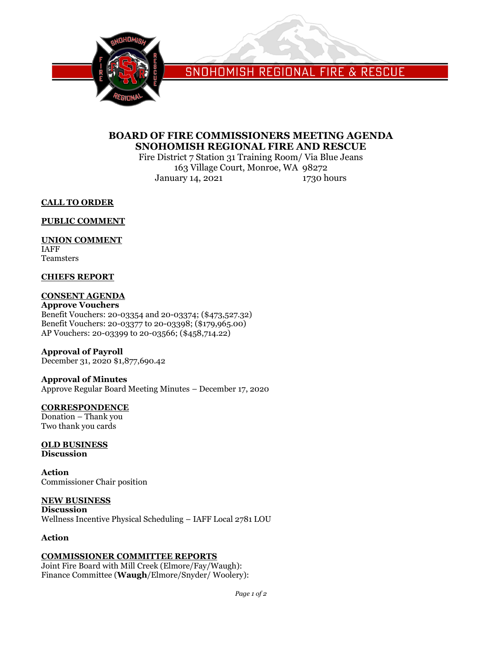

SNOHOMISH REGIONAL FIRE & RESCUE

# **BOARD OF FIRE COMMISSIONERS MEETING AGENDA SNOHOMISH REGIONAL FIRE AND RESCUE**

Fire District 7 Station 31 Training Room/ Via Blue Jeans 163 Village Court, Monroe, WA 98272 January 14, 2021 1730 hours

**CALL TO ORDER**

**PUBLIC COMMENT**

# **UNION COMMENT**

IAFF Teamsters

# **CHIEFS REPORT**

# **CONSENT AGENDA**

**Approve Vouchers** Benefit Vouchers: 20-03354 and 20-03374; (\$473,527.32) Benefit Vouchers: 20-03377 to 20-03398; (\$179,965.00) AP Vouchers: 20-03399 to 20-03566; (\$458,714.22)

#### **Approval of Payroll**

December 31, 2020 \$1,877,690.42

# **Approval of Minutes**

Approve Regular Board Meeting Minutes – December 17, 2020

#### **CORRESPONDENCE**

Donation – Thank you Two thank you cards

#### **OLD BUSINESS Discussion**

**Action** Commissioner Chair position

# **NEW BUSINESS**

**Discussion** Wellness Incentive Physical Scheduling – IAFF Local 2781 LOU

# **Action**

# **COMMISSIONER COMMITTEE REPORTS**

Joint Fire Board with Mill Creek (Elmore/Fay/Waugh): Finance Committee (**Waugh**/Elmore/Snyder/ Woolery):